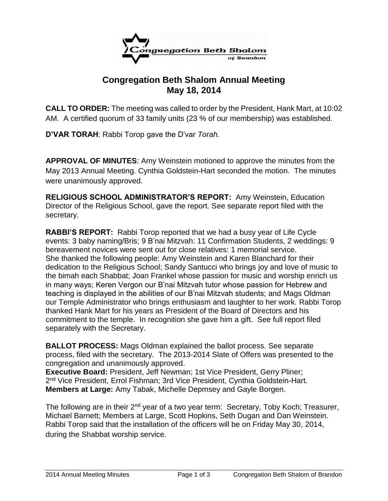

## **Congregation Beth Shalom Annual Meeting May 18, 2014**

**CALL TO ORDER:** The meeting was called to order by the President, Hank Mart, at 10:02 AM. A certified quorum of 33 family units (23 % of our membership) was established.

**D'VAR TORAH**: Rabbi Torop gave the D'var *Torah.* 

**APPROVAL OF MINUTES**: Amy Weinstein motioned to approve the minutes from the May 2013 Annual Meeting. Cynthia Goldstein-Hart seconded the motion. The minutes were unanimously approved.

**RELIGIOUS SCHOOL ADMINISTRATOR'S REPORT:** Amy Weinstein, Education Director of the Religious School, gave the report. See separate report filed with the secretary.

**RABBI'S REPORT:** Rabbi Torop reported that we had a busy year of Life Cycle events: 3 baby naming/Bris; 9 B'nai Mitzvah: 11 Confirmation Students, 2 weddings: 9 bereavement novices were sent out for close relatives: 1 memorial service. She thanked the following people: Amy Weinstein and Karen Blanchard for their dedication to the Religious School; Sandy Santucci who brings joy and love of music to the bimah each Shabbat; Joan Frankel whose passion for music and worship enrich us in many ways; Keren Vergon our B'nai Mitzvah tutor whose passion for Hebrew and teaching is displayed in the abilities of our B'nai Mitzvah students; and Mags Oldman our Temple Administrator who brings enthusiasm and laughter to her work. Rabbi Torop thanked Hank Mart for his years as President of the Board of Directors and his commitment to the temple. In recognition she gave him a gift. See full report filed separately with the Secretary.

**BALLOT PROCESS:** Mags Oldman explained the ballot process. See separate process, filed with the secretary. The 2013-2014 Slate of Offers was presented to the congregation and unanimously approved.

**Executive Board:** President, Jeff Newman; 1st Vice President, Gerry Pliner; 2<sup>nd</sup> Vice President, Errol Fishman; 3rd Vice President, Cynthia Goldstein-Hart. **Members at Large:** Amy Tabak, Michelle Depmsey and Gayle Borgen.

The following are in their 2<sup>nd</sup> year of a two year term: Secretary, Toby Koch; Treasurer, Michael Barnett; Members at Large, Scott Hopkins, Seth Dugan and Dan Weinstein. Rabbi Torop said that the installation of the officers will be on Friday May 30, 2014, during the Shabbat worship service.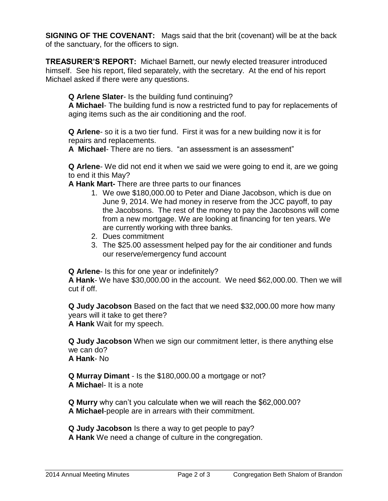**SIGNING OF THE COVENANT:** Mags said that the brit (covenant) will be at the back of the sanctuary, for the officers to sign.

**TREASURER'S REPORT:** Michael Barnett, our newly elected treasurer introduced himself. See his report, filed separately, with the secretary. At the end of his report Michael asked if there were any questions.

## **Q Arlene Slater**- Is the building fund continuing?

**A Michael**- The building fund is now a restricted fund to pay for replacements of aging items such as the air conditioning and the roof.

**Q Arlene**- so it is a two tier fund. First it was for a new building now it is for repairs and replacements.

**A Michael**- There are no tiers. "an assessment is an assessment"

**Q Arlene**- We did not end it when we said we were going to end it, are we going to end it this May?

**A Hank Mart-** There are three parts to our finances

- 1. We owe \$180,000.00 to Peter and Diane Jacobson, which is due on June 9, 2014. We had money in reserve from the JCC payoff, to pay the Jacobsons. The rest of the money to pay the Jacobsons will come from a new mortgage. We are looking at financing for ten years. We are currently working with three banks.
- 2. Dues commitment
- 3. The \$25.00 assessment helped pay for the air conditioner and funds our reserve/emergency fund account

**Q Arlene**- Is this for one year or indefinitely?

**A Hank**- We have \$30,000.00 in the account. We need \$62,000.00. Then we will cut if off.

**Q Judy Jacobson** Based on the fact that we need \$32,000.00 more how many years will it take to get there? **A Hank** Wait for my speech.

**Q Judy Jacobson** When we sign our commitment letter, is there anything else we can do?

**A Hank**- No

**Q Murray Dimant** - Is the \$180,000.00 a mortgage or not? **A Michae**l- It is a note

**Q Murry** why can't you calculate when we will reach the \$62,000.00? **A Michael**-people are in arrears with their commitment.

**Q Judy Jacobson** Is there a way to get people to pay? **A Hank** We need a change of culture in the congregation.